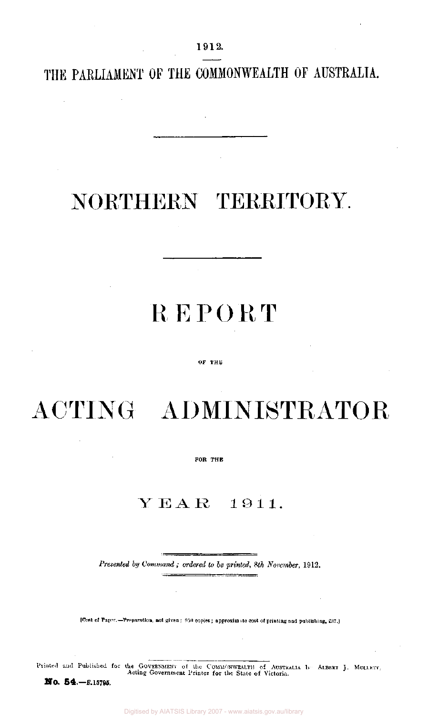1912.

THE PARLIAMENT OF THE COMMONWEALTH OF AUSTRALIA.

## NORTHERN TERRITORY.

## **REPORT**

## OF THE

ACTING ADMINISTRATOR

FOB THE

## **Y E A** *R* **1 9 1 1.**

*Presented by Command ; ordered to be printed, 8th November,* 1912.

[Cost of Paper.-Preparation, not given ; 950 copies ; approximate cost of printing and publishing, £37.]

Printed and Published for the GOVERNMENT of the COMMONWEALTH of AUSTRALIA b-- ALBERT J. MULLET Acting Government Printe r for the Stat e of Victoria.

*NO.* 54.— *E.* 15795.

J.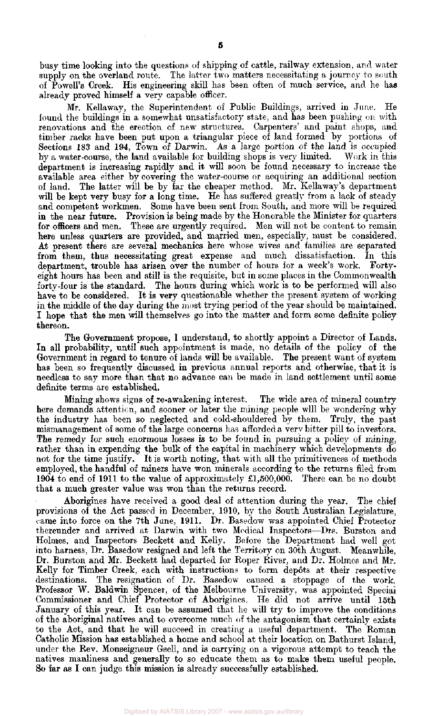busy time looking into the questions of shipping of cattle, railway extension, and water supply on the overland route. The latter two matters necessitating a journey to south of Powell's Creek. His engineering skill has been often of much service, and he has already proved himself a very capable officer.

Mr. Kellaway, the Superintendent of Public Buildings, arrived in June. He found the buildings in a somewhat unsatisfactory state, and has been pushing on with renovations and the erection of new structures. Carpenters' and paint shops, and timber racks have been put upon a triangular piece of land formed by portions of Sections 183 and 194, Town of Darwin. As a large portion of the land is occupied by a water-course, the land available for building shops is very limited. Work in this department is increasing rapidly and it will soon be found necessary to increase the available area either by covering the water-course or acquiring an additional section of land. The latter will be by far the cheaper method. Mr. Kellaway's department of land. The latter will be by far the cheaper method. Mr. Kellaway's department will be kept very busy for a long time. He has suffered greatly from a lack of steady and competent workmen. Some have been sent from South, and more will be required in the near future. Provision is being made by the Honorable the Minister for quarters for officers and men. These are urgently required. Men will not be content to remain here unless quarters are provided, and married men, especially, must be considered. At present there are several mechanics here whose wives and families are separated from them, thus necessitating great expense and much dissatisfaction. In this department, trouble has arisen over the number of hours for a week's work. Fortyeight hours has been and still is the requisite, but in some places in the Commonwealth forty-four is the standard. The hours during which work is to be performed will also have to be considered. It is very questionable whether the present system of working in the middle of the day during the most trying period of the year should be maintained. I hope that the men will themselves go into the matter and form some definite policy thereon.

The Government propose, I understand, to shortly appoint a Director of Lands. In all probability, until such appointment is made, no details of the policy of the Government in regard to tenure of lands will be available. The present want of system has been so frequently discussed in previous annual reports and otherwise, that it is needless to say more than that no advance can be made in land settlement until some definite terms are established.

Mining shows signs of re-awakening interest. The wide area of mineral country here demands attention, and sooner or later the mining people will be wondering why the industry has been so neglected and cold-shouldered by them. Truly, the past mismanagement of some of the large concerns has afforded a very bitter pill to investors. The remedy for such enormous losses is to be found in pursuing a policy of mining, rather than in expending the bulk of the capital in machinery which developments do not for the time justify. It is worth noting, that with all the primitiveness of methods employed, the handful of miners have won minerals according to the returns filed from 1904 to end of 1911 to the value of approximately £1,500,000. There can be no doubt that a much greater value was won than the returns record.

Aborigines have received a good deal of attention during the year. The chief provisions of the Act passed in December, 1910, by the South Australian Legislature, came into force on the 7th June, 1911. Dr. Basedow was appointed Chief Protector thereunder and arrived at Darwin with two Medical Inspectors—Drs. Burston and Holmes, and Inspectors Beckett and Kelly. Before the Department had well got into harness, Dr. Basedow resigned and left the Territory on 30th August. Meanwhile, Dr. Burston and Mr. Beckett had departed for Roper River, and Dr. Holmes and Mr. Kelly for Timber Creek, each with instructions to form depots at their respective destinations. The resignation of Dr. Basedow caused a stoppage of the work. Professor W. Baldwin Spencer, of the Melbourne University, was appointed Special Commissioner and Chief Protector of Aborigines. He did not arrive until 15th January of this year. It can be assumed that he will try to improve the conditions of the aboriginal natives and to overcome much of the antagonism that certainly exists to the Act, and that he will succeed in creating a useful department. The Roman Catholic Mission has established a home and school at their location on Bathurst Island, under the Rev. Monseigneur Gsell, and is carrying on a vigorous attempt to teach the natives manliness and generally to so educate them as to make them useful people. So far as I can judge this mission is already successfully established.